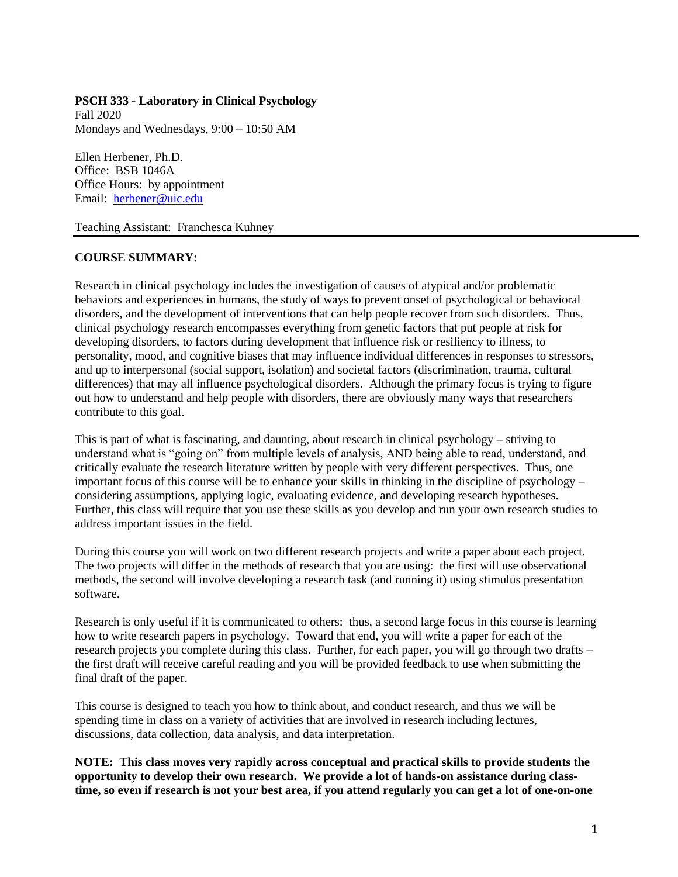## **PSCH 333 - Laboratory in Clinical Psychology**

Fall 2020 Mondays and Wednesdays, 9:00 – 10:50 AM

Ellen Herbener, Ph.D. Office: BSB 1046A Office Hours: by appointment Email: [herbener@uic.edu](mailto:herbener@uic.edu)

Teaching Assistant: Franchesca Kuhney

# **COURSE SUMMARY:**

Research in clinical psychology includes the investigation of causes of atypical and/or problematic behaviors and experiences in humans, the study of ways to prevent onset of psychological or behavioral disorders, and the development of interventions that can help people recover from such disorders. Thus, clinical psychology research encompasses everything from genetic factors that put people at risk for developing disorders, to factors during development that influence risk or resiliency to illness, to personality, mood, and cognitive biases that may influence individual differences in responses to stressors, and up to interpersonal (social support, isolation) and societal factors (discrimination, trauma, cultural differences) that may all influence psychological disorders. Although the primary focus is trying to figure out how to understand and help people with disorders, there are obviously many ways that researchers contribute to this goal.

This is part of what is fascinating, and daunting, about research in clinical psychology – striving to understand what is "going on" from multiple levels of analysis, AND being able to read, understand, and critically evaluate the research literature written by people with very different perspectives. Thus, one important focus of this course will be to enhance your skills in thinking in the discipline of psychology – considering assumptions, applying logic, evaluating evidence, and developing research hypotheses. Further, this class will require that you use these skills as you develop and run your own research studies to address important issues in the field.

During this course you will work on two different research projects and write a paper about each project. The two projects will differ in the methods of research that you are using: the first will use observational methods, the second will involve developing a research task (and running it) using stimulus presentation software.

Research is only useful if it is communicated to others: thus, a second large focus in this course is learning how to write research papers in psychology. Toward that end, you will write a paper for each of the research projects you complete during this class. Further, for each paper, you will go through two drafts – the first draft will receive careful reading and you will be provided feedback to use when submitting the final draft of the paper.

This course is designed to teach you how to think about, and conduct research, and thus we will be spending time in class on a variety of activities that are involved in research including lectures, discussions, data collection, data analysis, and data interpretation.

**NOTE: This class moves very rapidly across conceptual and practical skills to provide students the opportunity to develop their own research. We provide a lot of hands-on assistance during classtime, so even if research is not your best area, if you attend regularly you can get a lot of one-on-one**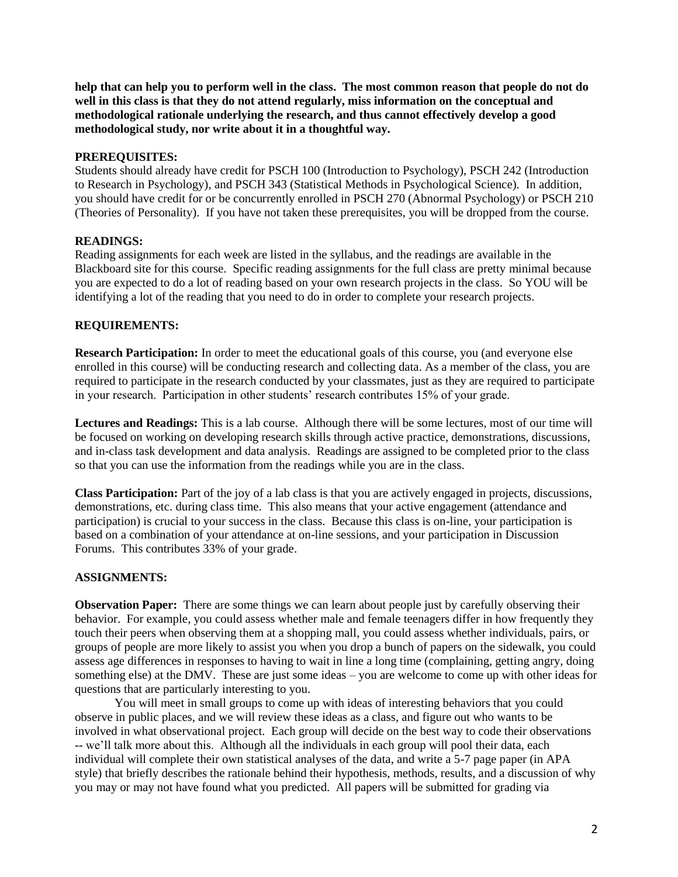**help that can help you to perform well in the class. The most common reason that people do not do well in this class is that they do not attend regularly, miss information on the conceptual and methodological rationale underlying the research, and thus cannot effectively develop a good methodological study, nor write about it in a thoughtful way.**

## **PREREQUISITES:**

Students should already have credit for PSCH 100 (Introduction to Psychology), PSCH 242 (Introduction to Research in Psychology), and PSCH 343 (Statistical Methods in Psychological Science). In addition, you should have credit for or be concurrently enrolled in PSCH 270 (Abnormal Psychology) or PSCH 210 (Theories of Personality). If you have not taken these prerequisites, you will be dropped from the course.

# **READINGS:**

Reading assignments for each week are listed in the syllabus, and the readings are available in the Blackboard site for this course. Specific reading assignments for the full class are pretty minimal because you are expected to do a lot of reading based on your own research projects in the class. So YOU will be identifying a lot of the reading that you need to do in order to complete your research projects.

# **REQUIREMENTS:**

**Research Participation:** In order to meet the educational goals of this course, you (and everyone else enrolled in this course) will be conducting research and collecting data. As a member of the class, you are required to participate in the research conducted by your classmates, just as they are required to participate in your research. Participation in other students' research contributes 15% of your grade.

**Lectures and Readings:** This is a lab course. Although there will be some lectures, most of our time will be focused on working on developing research skills through active practice, demonstrations, discussions, and in-class task development and data analysis. Readings are assigned to be completed prior to the class so that you can use the information from the readings while you are in the class.

**Class Participation:** Part of the joy of a lab class is that you are actively engaged in projects, discussions, demonstrations, etc. during class time. This also means that your active engagement (attendance and participation) is crucial to your success in the class. Because this class is on-line, your participation is based on a combination of your attendance at on-line sessions, and your participation in Discussion Forums. This contributes 33% of your grade.

#### **ASSIGNMENTS:**

**Observation Paper:** There are some things we can learn about people just by carefully observing their behavior. For example, you could assess whether male and female teenagers differ in how frequently they touch their peers when observing them at a shopping mall, you could assess whether individuals, pairs, or groups of people are more likely to assist you when you drop a bunch of papers on the sidewalk, you could assess age differences in responses to having to wait in line a long time (complaining, getting angry, doing something else) at the DMV. These are just some ideas – you are welcome to come up with other ideas for questions that are particularly interesting to you.

You will meet in small groups to come up with ideas of interesting behaviors that you could observe in public places, and we will review these ideas as a class, and figure out who wants to be involved in what observational project. Each group will decide on the best way to code their observations -- we'll talk more about this. Although all the individuals in each group will pool their data, each individual will complete their own statistical analyses of the data, and write a 5-7 page paper (in APA style) that briefly describes the rationale behind their hypothesis, methods, results, and a discussion of why you may or may not have found what you predicted. All papers will be submitted for grading via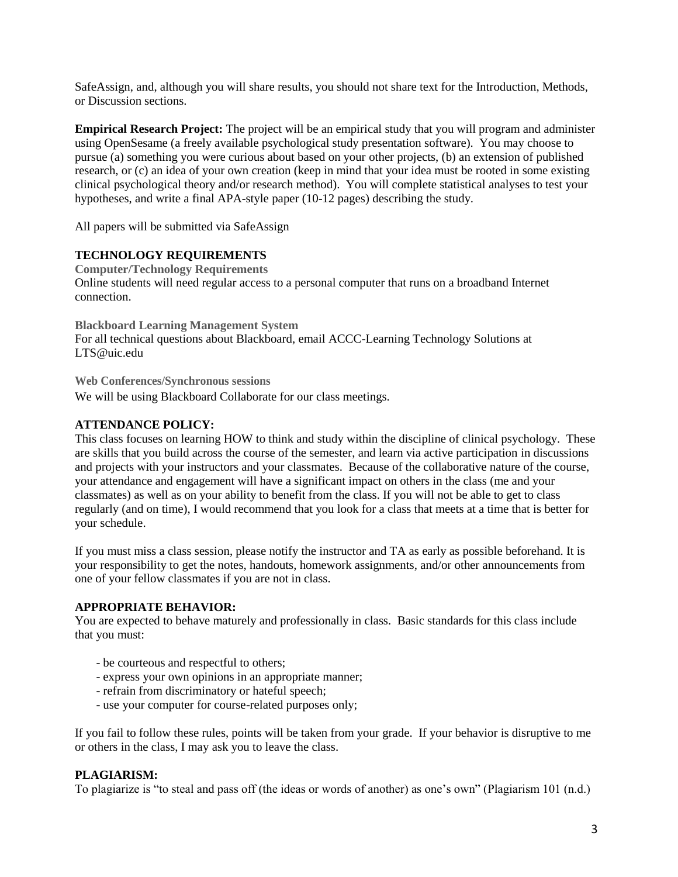SafeAssign, and, although you will share results, you should not share text for the Introduction, Methods, or Discussion sections.

**Empirical Research Project:** The project will be an empirical study that you will program and administer using OpenSesame (a freely available psychological study presentation software). You may choose to pursue (a) something you were curious about based on your other projects, (b) an extension of published research, or (c) an idea of your own creation (keep in mind that your idea must be rooted in some existing clinical psychological theory and/or research method). You will complete statistical analyses to test your hypotheses, and write a final APA-style paper (10-12 pages) describing the study.

All papers will be submitted via SafeAssign

# **TECHNOLOGY REQUIREMENTS**

**Computer/Technology Requirements** Online students will need regular access to a personal computer that runs on a broadband Internet connection.

**Blackboard Learning Management System** For all technical questions about Blackboard, email ACCC-Learning Technology Solutions at LTS@uic.edu

**Web Conferences/Synchronous sessions**

We will be using Blackboard Collaborate for our class meetings.

# **ATTENDANCE POLICY:**

This class focuses on learning HOW to think and study within the discipline of clinical psychology. These are skills that you build across the course of the semester, and learn via active participation in discussions and projects with your instructors and your classmates. Because of the collaborative nature of the course, your attendance and engagement will have a significant impact on others in the class (me and your classmates) as well as on your ability to benefit from the class. If you will not be able to get to class regularly (and on time), I would recommend that you look for a class that meets at a time that is better for your schedule.

If you must miss a class session, please notify the instructor and TA as early as possible beforehand. It is your responsibility to get the notes, handouts, homework assignments, and/or other announcements from one of your fellow classmates if you are not in class.

# **APPROPRIATE BEHAVIOR:**

You are expected to behave maturely and professionally in class. Basic standards for this class include that you must:

- be courteous and respectful to others;
- express your own opinions in an appropriate manner;
- refrain from discriminatory or hateful speech;
- use your computer for course-related purposes only;

If you fail to follow these rules, points will be taken from your grade. If your behavior is disruptive to me or others in the class, I may ask you to leave the class.

# **PLAGIARISM:**

To plagiarize is "to steal and pass off (the ideas or words of another) as one's own" (Plagiarism 101 (n.d.)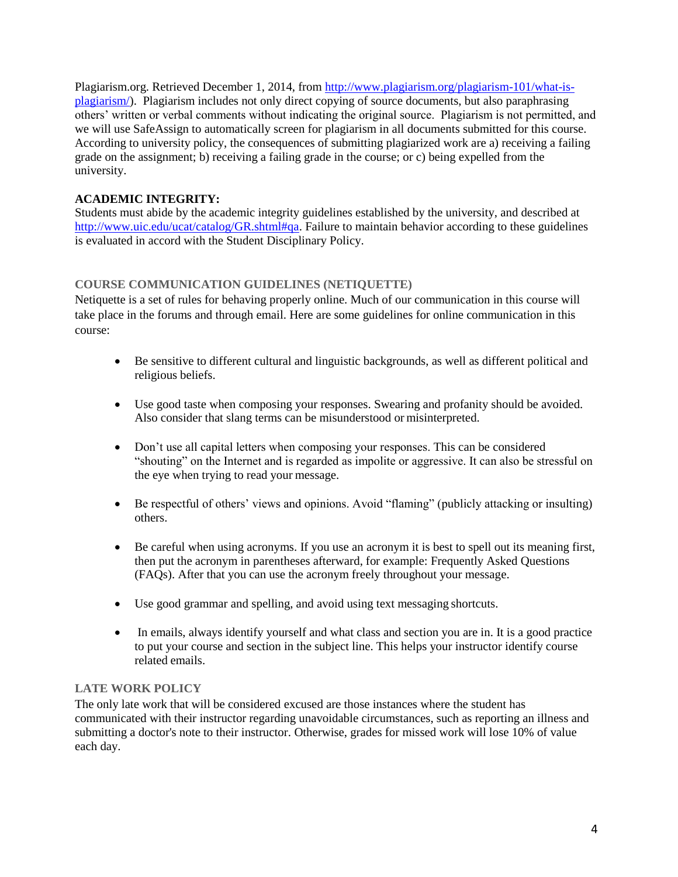Plagiarism.org. Retrieved December 1, 2014, from [http://www.plagiarism.org/plagiarism-101/what-is](http://www.plagiarism.org/plagiarism-101/what-is-plagiarism/)[plagiarism/\)](http://www.plagiarism.org/plagiarism-101/what-is-plagiarism/). Plagiarism includes not only direct copying of source documents, but also paraphrasing others' written or verbal comments without indicating the original source. Plagiarism is not permitted, and we will use SafeAssign to automatically screen for plagiarism in all documents submitted for this course. According to university policy, the consequences of submitting plagiarized work are a) receiving a failing grade on the assignment; b) receiving a failing grade in the course; or c) being expelled from the university.

# **ACADEMIC INTEGRITY:**

Students must abide by the academic integrity guidelines established by the university, and described at [http://www.uic.edu/ucat/catalog/GR.shtml#qa.](http://www.uic.edu/ucat/catalog/GR.shtml#qa) Failure to maintain behavior according to these guidelines is evaluated in accord with the Student Disciplinary Policy.

# **COURSE COMMUNICATION GUIDELINES (NETIQUETTE)**

Netiquette is a set of rules for behaving properly online. Much of our communication in this course will take place in the forums and through email. Here are some guidelines for online communication in this course:

- Be sensitive to different cultural and linguistic backgrounds, as well as different political and religious beliefs.
- Use good taste when composing your responses. Swearing and profanity should be avoided. Also consider that slang terms can be misunderstood or misinterpreted.
- Don't use all capital letters when composing your responses. This can be considered "shouting" on the Internet and is regarded as impolite or aggressive. It can also be stressful on the eye when trying to read your message.
- Be respectful of others' views and opinions. Avoid "flaming" (publicly attacking or insulting) others.
- Be careful when using acronyms. If you use an acronym it is best to spell out its meaning first, then put the acronym in parentheses afterward, for example: Frequently Asked Questions (FAQs). After that you can use the acronym freely throughout your message.
- Use good grammar and spelling, and avoid using text messaging shortcuts.
- In emails, always identify yourself and what class and section you are in. It is a good practice to put your course and section in the subject line. This helps your instructor identify course related emails.

# **LATE WORK POLICY**

The only late work that will be considered excused are those instances where the student has communicated with their instructor regarding unavoidable circumstances, such as reporting an illness and submitting a doctor's note to their instructor. Otherwise, grades for missed work will lose 10% of value each day.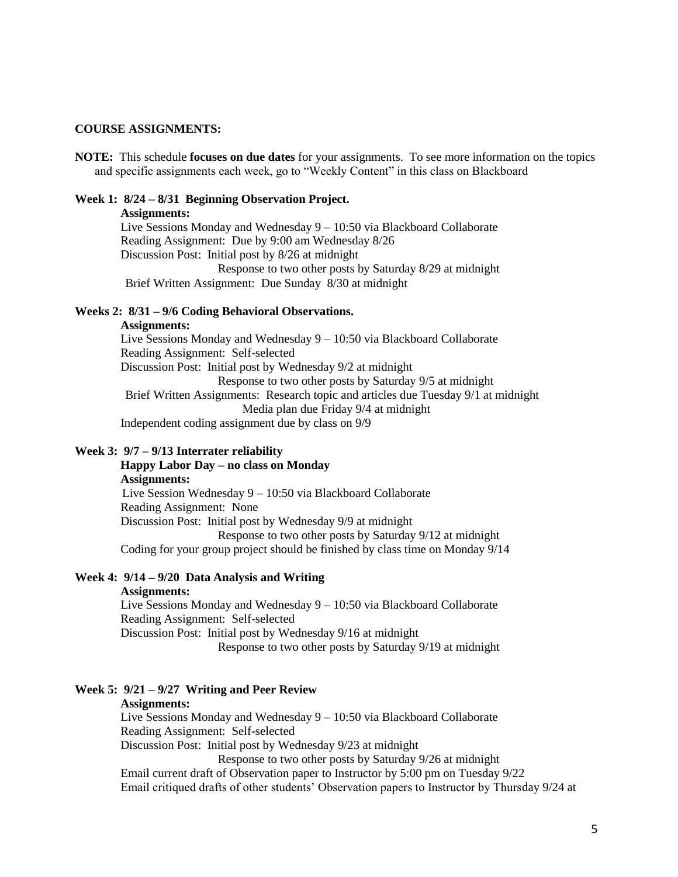#### **COURSE ASSIGNMENTS:**

**NOTE:** This schedule **focuses on due dates** for your assignments. To see more information on the topics and specific assignments each week, go to "Weekly Content" in this class on Blackboard

#### **Week 1: 8/24 – 8/31 Beginning Observation Project.**

#### **Assignments:**

 Live Sessions Monday and Wednesday 9 – 10:50 via Blackboard Collaborate Reading Assignment: Due by 9:00 am Wednesday 8/26 Discussion Post: Initial post by 8/26 at midnight Response to two other posts by Saturday 8/29 at midnight Brief Written Assignment: Due Sunday 8/30 at midnight

# **Weeks 2: 8/31 – 9/6 Coding Behavioral Observations.**

#### **Assignments:**

 Live Sessions Monday and Wednesday 9 – 10:50 via Blackboard Collaborate Reading Assignment: Self-selected Discussion Post: Initial post by Wednesday 9/2 at midnight Response to two other posts by Saturday 9/5 at midnight Brief Written Assignments: Research topic and articles due Tuesday 9/1 at midnight Media plan due Friday 9/4 at midnight Independent coding assignment due by class on 9/9

### **Week 3: 9/7 – 9/13 Interrater reliability**

# **Happy Labor Day – no class on Monday Assignments:** Live Session Wednesday 9 – 10:50 via Blackboard Collaborate Reading Assignment: None Discussion Post: Initial post by Wednesday 9/9 at midnight Response to two other posts by Saturday 9/12 at midnight Coding for your group project should be finished by class time on Monday 9/14

# **Week 4: 9/14 – 9/20 Data Analysis and Writing**

## **Assignments:**

 Live Sessions Monday and Wednesday 9 – 10:50 via Blackboard Collaborate Reading Assignment: Self-selected

Discussion Post: Initial post by Wednesday 9/16 at midnight

Response to two other posts by Saturday 9/19 at midnight

# **Week 5: 9/21 – 9/27 Writing and Peer Review**

## **Assignments:**

 Live Sessions Monday and Wednesday 9 – 10:50 via Blackboard Collaborate Reading Assignment: Self-selected

Discussion Post: Initial post by Wednesday 9/23 at midnight

Response to two other posts by Saturday 9/26 at midnight

 Email current draft of Observation paper to Instructor by 5:00 pm on Tuesday 9/22 Email critiqued drafts of other students' Observation papers to Instructor by Thursday 9/24 at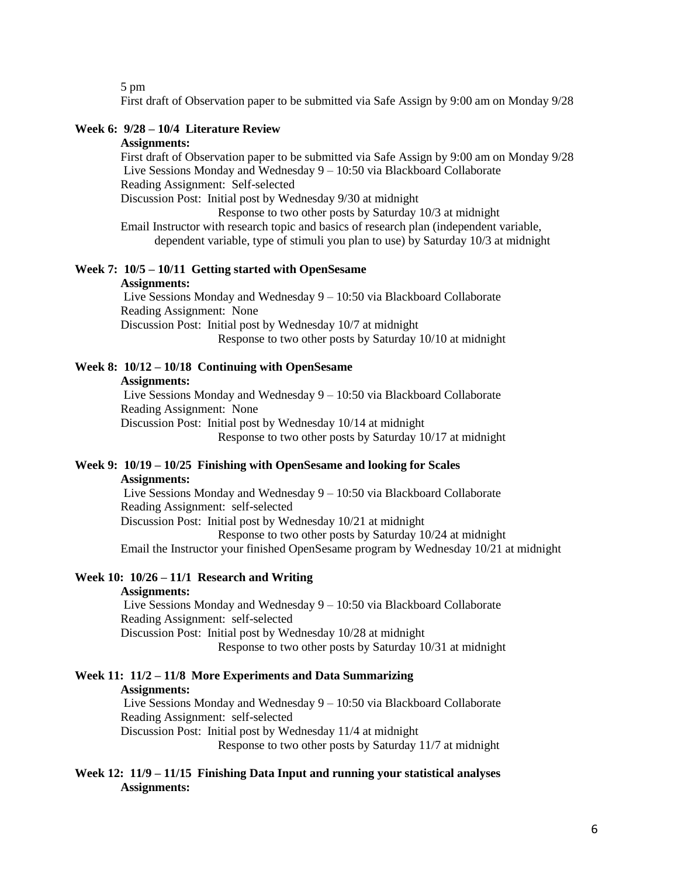5 pm

First draft of Observation paper to be submitted via Safe Assign by 9:00 am on Monday 9/28

## **Week 6: 9/28 – 10/4 Literature Review**

### **Assignments:**

 First draft of Observation paper to be submitted via Safe Assign by 9:00 am on Monday 9/28 Live Sessions Monday and Wednesday 9 – 10:50 via Blackboard Collaborate Reading Assignment: Self-selected

Discussion Post: Initial post by Wednesday 9/30 at midnight

Response to two other posts by Saturday 10/3 at midnight

 Email Instructor with research topic and basics of research plan (independent variable, dependent variable, type of stimuli you plan to use) by Saturday 10/3 at midnight

#### **Week 7: 10/5 – 10/11 Getting started with OpenSesame Assignments:**

Live Sessions Monday and Wednesday 9 – 10:50 via Blackboard Collaborate Reading Assignment: None Discussion Post: Initial post by Wednesday 10/7 at midnight Response to two other posts by Saturday 10/10 at midnight

# **Week 8: 10/12 – 10/18 Continuing with OpenSesame**

#### **Assignments:**

Live Sessions Monday and Wednesday 9 – 10:50 via Blackboard Collaborate Reading Assignment: None Discussion Post: Initial post by Wednesday 10/14 at midnight

Response to two other posts by Saturday 10/17 at midnight

# **Week 9: 10/19 – 10/25 Finishing with OpenSesame and looking for Scales Assignments:**

Live Sessions Monday and Wednesday 9 – 10:50 via Blackboard Collaborate Reading Assignment: self-selected

Discussion Post: Initial post by Wednesday 10/21 at midnight

Response to two other posts by Saturday 10/24 at midnight

Email the Instructor your finished OpenSesame program by Wednesday 10/21 at midnight

## **Week 10: 10/26 – 11/1 Research and Writing**

## **Assignments:**

Live Sessions Monday and Wednesday 9 – 10:50 via Blackboard Collaborate Reading Assignment: self-selected

Discussion Post: Initial post by Wednesday 10/28 at midnight

Response to two other posts by Saturday 10/31 at midnight

# **Week 11: 11/2 – 11/8 More Experiments and Data Summarizing**

#### **Assignments:**

Live Sessions Monday and Wednesday 9 – 10:50 via Blackboard Collaborate Reading Assignment: self-selected

Discussion Post: Initial post by Wednesday 11/4 at midnight

Response to two other posts by Saturday 11/7 at midnight

# **Week 12: 11/9 – 11/15 Finishing Data Input and running your statistical analyses Assignments:**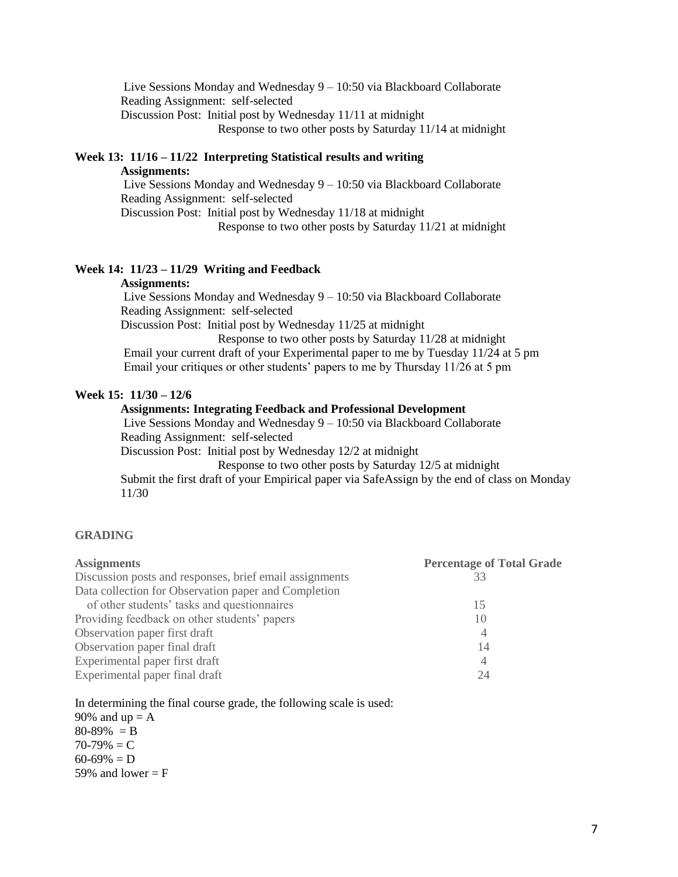Live Sessions Monday and Wednesday 9 – 10:50 via Blackboard Collaborate Reading Assignment: self-selected Discussion Post: Initial post by Wednesday 11/11 at midnight Response to two other posts by Saturday 11/14 at midnight

# **Week 13: 11/16 – 11/22 Interpreting Statistical results and writing**

 **Assignments:**

Live Sessions Monday and Wednesday 9 – 10:50 via Blackboard Collaborate Reading Assignment: self-selected

Discussion Post: Initial post by Wednesday 11/18 at midnight

Response to two other posts by Saturday 11/21 at midnight

# **Week 14: 11/23 – 11/29 Writing and Feedback**

## **Assignments:**

Live Sessions Monday and Wednesday 9 – 10:50 via Blackboard Collaborate Reading Assignment: self-selected

Discussion Post: Initial post by Wednesday 11/25 at midnight

 Response to two other posts by Saturday 11/28 at midnight Email your current draft of your Experimental paper to me by Tuesday 11/24 at 5 pm Email your critiques or other students' papers to me by Thursday 11/26 at 5 pm

# **Week 15: 11/30 – 12/6**

# **Assignments: Integrating Feedback and Professional Development**

Live Sessions Monday and Wednesday 9 – 10:50 via Blackboard Collaborate Reading Assignment: self-selected

Discussion Post: Initial post by Wednesday 12/2 at midnight

Response to two other posts by Saturday 12/5 at midnight

 Submit the first draft of your Empirical paper via SafeAssign by the end of class on Monday 11/30

# **GRADING**

| <b>Assignments</b>                                      | <b>Percentage of Total Grade</b> |
|---------------------------------------------------------|----------------------------------|
| Discussion posts and responses, brief email assignments | 33                               |
| Data collection for Observation paper and Completion    |                                  |
| of other students' tasks and questionnaires             | 15                               |
| Providing feedback on other students' papers            | 10                               |
| Observation paper first draft                           | 4                                |
| Observation paper final draft                           | 14                               |
| Experimental paper first draft                          | 4                                |
| Experimental paper final draft                          | 24                               |

In determining the final course grade, the following scale is used:

90% and  $up = A$  $80 - 89\% = B$  $70-79\% = C$  $60-69\% = D$ 59% and lower  $=$  F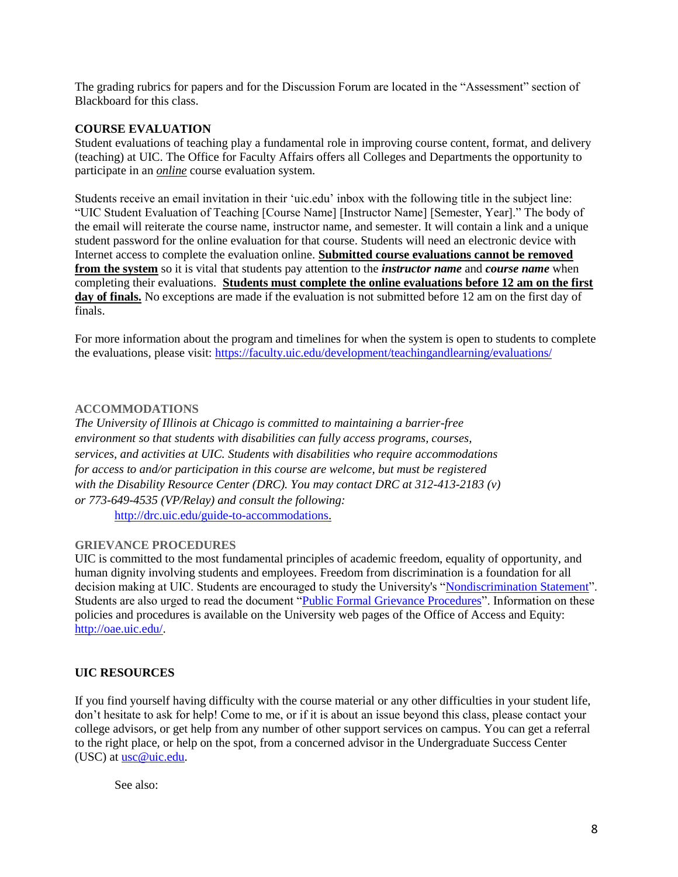The grading rubrics for papers and for the Discussion Forum are located in the "Assessment" section of Blackboard for this class.

# **COURSE EVALUATION**

Student evaluations of teaching play a fundamental role in improving course content, format, and delivery (teaching) at UIC. The Office for Faculty Affairs offers all Colleges and Departments the opportunity to participate in an *online* course evaluation system.

Students receive an email invitation in their 'uic.edu' inbox with the following title in the subject line: "UIC Student Evaluation of Teaching [Course Name] [Instructor Name] [Semester, Year]." The body of the email will reiterate the course name, instructor name, and semester. It will contain a link and a unique student password for the online evaluation for that course. Students will need an electronic device with Internet access to complete the evaluation online. **Submitted course evaluations cannot be removed from the system** so it is vital that students pay attention to the *instructor name* and *course name* when completing their evaluations. **Students must complete the online evaluations before 12 am on the first**  day of finals. No exceptions are made if the evaluation is not submitted before 12 am on the first day of finals.

For more information about the program and timelines for when the system is open to students to complete the evaluations, please visit:<https://faculty.uic.edu/development/teachingandlearning/evaluations/>

# **ACCOMMODATIONS**

*The University of Illinois at Chicago is committed to maintaining a barrier-free environment so that students with disabilities can fully access programs, courses, services, and activities at UIC. Students with disabilities who require accommodations for access to and/or participation in this course are welcome, but must be registered with the Disability Resource Center (DRC). You may contact DRC at 312-413-2183 (v) or 773-649-4535 (VP/Relay) and consult the following:* [http://drc.uic.edu/guide-to-accommodations.](http://drc.uic.edu/guide-to-accommodations)

#### **GRIEVANCE PROCEDURES**

UIC is committed to the most fundamental principles of academic freedom, equality of opportunity, and human dignity involving students and employees. Freedom from discrimination is a foundation for all decision making at UIC. Students are encouraged to study the University's ["Nondiscrimination Statement"](http://www.uic.edu/depts/oar/campus_policies/nondiscrimination_statement.html). Students are also urged to read the document ["Public Formal Grievance Procedures"](http://www.uic.edu/depts/oar/campus_policies/public_grievance_procedures.html). Information on these policies and procedures is available on the University web pages of the Office of Access and Equity: [http://oae.uic.edu/.](http://oae.uic.edu/)

# **UIC RESOURCES**

If you find yourself having difficulty with the course material or any other difficulties in your student life, don't hesitate to ask for help! Come to me, or if it is about an issue beyond this class, please contact your college advisors, or get help from any number of other support services on campus. You can get a referral to the right place, or help on the spot, from a concerned advisor in the Undergraduate Success Center (USC) at [usc@uic.edu.](mailto:usc@uic.edu)

See also: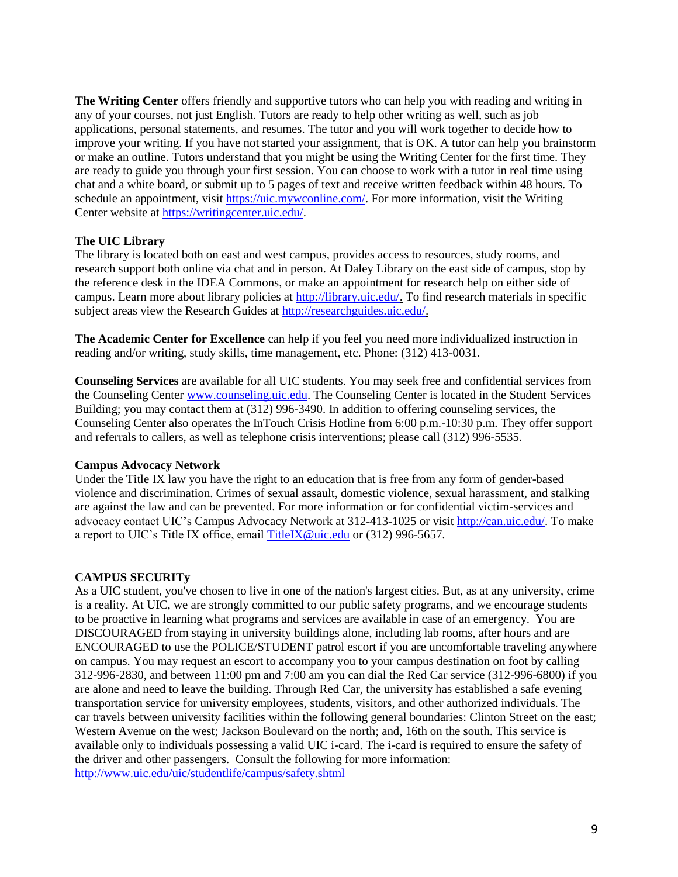**The Writing Center** offers friendly and supportive tutors who can help you with reading and writing in any of your courses, not just English. Tutors are ready to help other writing as well, such as job applications, personal statements, and resumes. The tutor and you will work together to decide how to improve your writing. If you have not started your assignment, that is OK. A tutor can help you brainstorm or make an outline. Tutors understand that you might be using the Writing Center for the first time. They are ready to guide you through your first session. You can choose to work with a tutor in real time using chat and a white board, or submit up to 5 pages of text and receive written feedback within 48 hours. To schedule an appointment, visit [https://uic.mywconline.com/.](https://uic.mywconline.com/) For more information, visit the Writing Center website at [https://writingcenter.uic.edu/.](https://writingcenter.uic.edu/)

# **The UIC Library**

The library is located both on east and west campus, provides access to resources, study rooms, and research support both online via chat and in person. At Daley Library on the east side of campus, stop by the reference desk in the IDEA Commons, or make an appointment for research help on either side of campus. Learn more about library policies at [http://library.uic.edu/.](http://library.uic.edu/) To find research materials in specific subject areas view the Research Guides a[t http://researchguides.uic.edu/.](http://researchguides.uic.edu/)

**The Academic Center for Excellence** can help if you feel you need more individualized instruction in reading and/or writing, study skills, time management, etc. Phone: (312) 413-0031.

**Counseling Services** are available for all UIC students. You may seek free and confidential services from the Counseling Cente[r www.counseling.uic.edu.](http://www.counseling.uic.edu/) The Counseling Center is located in the Student Services Building; you may contact them at (312) 996-3490. In addition to offering counseling services, the Counseling Center also operates the InTouch Crisis Hotline from 6:00 p.m.-10:30 p.m. They offer support and referrals to callers, as well as telephone crisis interventions; please call (312) 996-5535.

# **Campus Advocacy Network**

Under the Title IX law you have the right to an education that is free from any form of gender-based violence and discrimination. Crimes of sexual assault, domestic violence, sexual harassment, and stalking are against the law and can be prevented. For more information or for confidential victim-services and advocacy contact UIC's Campus Advocacy Network at 312-413-1025 or visi[t http://can.uic.edu/.](http://can.uic.edu/) To make a report to UIC's Title IX office, email TitleIX @uic.edu or (312) 996-5657.

# **CAMPUS SECURITy**

As a UIC student, you've chosen to live in one of the nation's largest cities. But, as at any university, crime is a reality. At UIC, we are strongly committed to our public safety programs, and we encourage students to be proactive in learning what programs and services are available in case of an emergency. You are DISCOURAGED from staying in university buildings alone, including lab rooms, after hours and are ENCOURAGED to use the POLICE/STUDENT patrol escort if you are uncomfortable traveling anywhere on campus. You may request an escort to accompany you to your campus destination on foot by calling 312-996-2830, and between 11:00 pm and 7:00 am you can dial the Red Car service (312-996-6800) if you are alone and need to leave the building. Through Red Car, the university has established a safe evening transportation service for university employees, students, visitors, and other authorized individuals. The car travels between university facilities within the following general boundaries: Clinton Street on the east; Western Avenue on the west; Jackson Boulevard on the north; and, 16th on the south. This service is available only to individuals possessing a valid UIC i-card. The i-card is required to ensure the safety of the driver and other passengers. Consult the following for more information: <http://www.uic.edu/uic/studentlife/campus/safety.shtml>